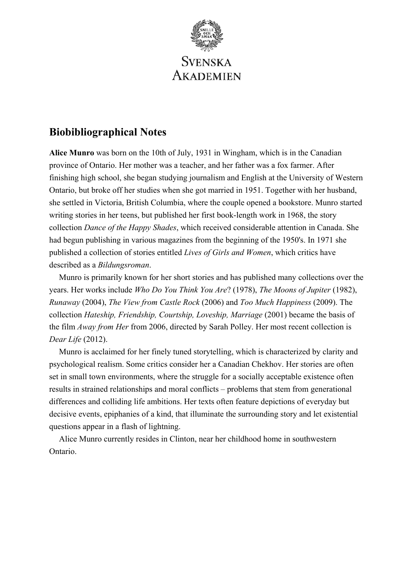

# **Biobibliographical Notes**

**Alice Munro** was born on the 10th of July, 1931 in Wingham, which is in the Canadian province of Ontario. Her mother was a teacher, and her father was a fox farmer. After finishing high school, she began studying journalism and English at the University of Western Ontario, but broke off her studies when she got married in 1951. Together with her husband, she settled in Victoria, British Columbia, where the couple opened a bookstore. Munro started writing stories in her teens, but published her first book-length work in 1968, the story collection *Dance of the Happy Shades*, which received considerable attention in Canada. She had begun publishing in various magazines from the beginning of the 1950's. In 1971 she published a collection of stories entitled *Lives of Girls and Women*, which critics have described as a *Bildungsroman*.

Munro is primarily known for her short stories and has published many collections over the years. Her works include *Who Do You Think You Are*? (1978), *The Moons of Jupiter* (1982), *Runaway* (2004), *The View from Castle Rock* (2006) and *Too Much Happiness* (2009). The collection *Hateship, Friendship, Courtship, Loveship, Marriage* (2001) became the basis of the film *Away from Her* from 2006, directed by Sarah Polley. Her most recent collection is *Dear Life* (2012).

Munro is acclaimed for her finely tuned storytelling, which is characterized by clarity and psychological realism. Some critics consider her a Canadian Chekhov. Her stories are often set in small town environments, where the struggle for a socially acceptable existence often results in strained relationships and moral conflicts – problems that stem from generational differences and colliding life ambitions. Her texts often feature depictions of everyday but decisive events, epiphanies of a kind, that illuminate the surrounding story and let existential questions appear in a flash of lightning.

Alice Munro currently resides in Clinton, near her childhood home in southwestern Ontario.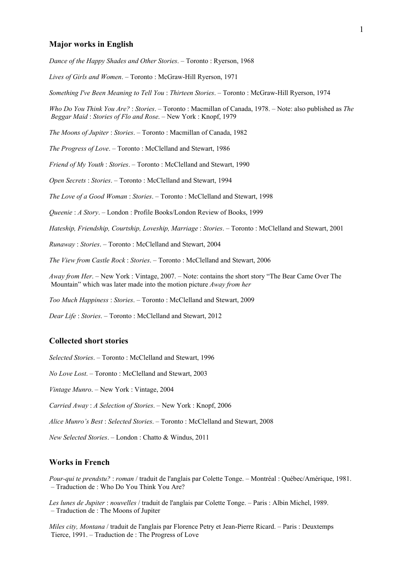#### **Major works in English**

*Dance of the Happy Shades and Other Stories*. – Toronto : Ryerson, 1968

*Lives of Girls and Women*. – Toronto : McGraw-Hill Ryerson, 1971

*Something I've Been Meaning to Tell You* : *Thirteen Stories*. – Toronto : McGraw-Hill Ryerson, 1974

*Who Do You Think You Are?* : *Stories*. – Toronto : Macmillan of Canada, 1978. – Note: also published as *The Beggar Maid* : *Stories of Flo and Rose*. – New York : Knopf, 1979

*The Moons of Jupiter* : *Stories*. – Toronto : Macmillan of Canada, 1982

*The Progress of Love*. – Toronto : McClelland and Stewart, 1986

*Friend of My Youth* : *Stories*. – Toronto : McClelland and Stewart, 1990

*Open Secrets* : *Stories*. – Toronto : McClelland and Stewart, 1994

*The Love of a Good Woman* : *Stories*. – Toronto : McClelland and Stewart, 1998

*Queenie* : *A Story*. – London : Profile Books/London Review of Books, 1999

*Hateship, Friendship, Courtship, Loveship, Marriage* : *Stories*. – Toronto : McClelland and Stewart, 2001

*Runaway* : *Stories*. – Toronto : McClelland and Stewart, 2004

*The View from Castle Rock* : *Stories*. – Toronto : McClelland and Stewart, 2006

*Away from Her*. – New York : Vintage, 2007. – Note: contains the short story "The Bear Came Over The Mountain" which was later made into the motion picture *Away from her* 

*Too Much Happiness* : *Stories*. – Toronto : McClelland and Stewart, 2009

*Dear Life* : *Stories*. – Toronto : McClelland and Stewart, 2012

### **Collected short stories**

*Selected Stories*. – Toronto : McClelland and Stewart, 1996

*No Love Lost*. – Toronto : McClelland and Stewart, 2003

*Vintage Munro*. – New York : Vintage, 2004

*Carried Away* : *A Selection of Stories*. – New York : Knopf, 2006

*Alice Munro's Best* : *Selected Stories*. – Toronto : McClelland and Stewart, 2008

*New Selected Stories*. – London : Chatto & Windus, 2011

## **Works in French**

*Pour-qui te prendstu?* : *roman* / traduit de l'anglais par Colette Tonge. – Montréal : Québec/Amérique, 1981. – Traduction de : Who Do You Think You Are?

*Les lunes de Jupiter* : *nouvelles* / traduit de l'anglais par Colette Tonge. – Paris : Albin Michel, 1989. – Traduction de : The Moons of Jupiter

*Miles city, Montana* / traduit de l'anglais par Florence Petry et Jean-Pierre Ricard. – Paris : Deuxtemps Tierce, 1991. – Traduction de : The Progress of Love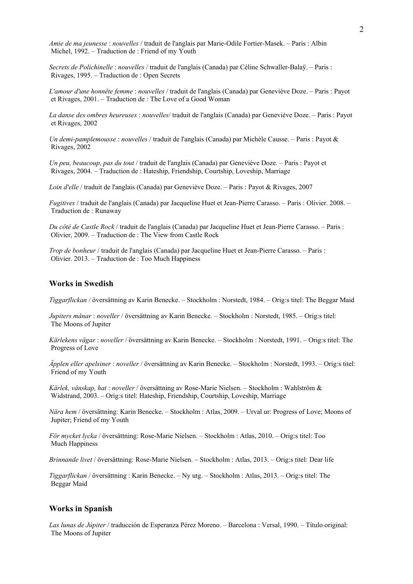*Amie de ma jeunesse* : *nouvelles* / traduit de l'anglais par Marie-Odile Fortier-Masek. – Paris : Albin Michel, 1992. – Traduction de : Friend of my Youth

*Secrets de Polichinelle* : *nouvelles* / traduit de l'anglais (Canada) par Céline Schwaller-Balaÿ. – Paris : Rivages, 1995. – Traduction de : Open Secrets

*L'amour d'une honnête femme* : *nouvelles* / traduit de l'anglais (Canada) par Geneviève Doze. – Paris : Payot et Rivages, 2001. – Traduction de : The Love of a Good Woman

*La danse des ombres heureuses* : *nouvelles*/ traduit de l'anglais (Canada) par Geneviève Doze. – Paris : Payot et Rivages, 2002

*Un demi-pamplemousse* : *nouvelles* / traduit de l'anglais (Canada) par Michèle Causse. – Paris : Payot & Rivages, 2002

*Un peu, beaucoup, pas du tout* / traduit de l'anglais (Canada) par Geneviève Doze. – Paris : Payot et Rivages, 2004. – Traduction de : Hateship, Friendship, Courtship, Loveship, Marriage

*Loin d'elle* / traduit de l'anglais (Canada) par Geneviève Doze. – Paris : Payot & Rivages, 2007

*Fugitives* / traduit de l'anglais (Canada) par Jacqueline Huet et Jean-Pierre Carasso. – Paris : Olivier. 2008. – Traduction de : Runaway

*Du côté de Castle Rock* / traduit de l'anglais (Canada) par Jacqueline Huet et Jean-Pierre Carasso. – Paris : Olivier, 2009. – Traduction de : The View from Castle Rock

*Trop de bonheur* / traduit de l'anglais (Canada) par Jacqueline Huet et Jean-Pierre Carasso. – Paris : Olivier. 2013. – Traduction de : Too Much Happiness

# **Works in Swedish**

*Tiggarflickan* / översättning av Karin Benecke. – Stockholm : Norstedt, 1984. – Orig:s titel: The Beggar Maid

*Jupiters månar* : *noveller* / översättning av Karin Benecke. – Stockholm : Norstedt, 1985. – Orig:s titel: The Moons of Jupiter

*Kärlekens vägar* : *noveller* / översättning av Karin Benecke. – Stockholm : Norstedt, 1991. – Orig:s titel: The Progress of Love

*Äpplen eller apelsiner* : *noveller* / översättning av Karin Benecke. – Stockholm : Norstedt, 1993. – Orig:s titel: Friend of my Youth

*Kärlek, vänskap, hat* : *noveller* / översättning av Rose-Marie Nielsen. – Stockholm : Wahlström & Widstrand, 2003. – Orig:s titel: Hateship, Friendship, Courtship, Loveship, Marriage

*Nära hem* / översättning: Karin Benecke. – Stockholm : Atlas, 2009. – Urval ur: Progress of Love; Moons of Jupiter; Friend of my Youth

*För mycket lycka* / översättning: Rose-Marie Nielsen. – Stockholm : Atlas, 2010. – Orig:s titel: Too Much Happiness

*Brinnande livet* / översättning: Rose-Marie Nielsen. – Stockholm : Atlas, 2013. – Orig:s titel: Dear life

*Tiggarflickan* / översättning : Karin Benecke. – Ny utg. – Stockholm : Atlas, 2013. – Orig:s titel: The Beggar Maid

### **Works in Spanish**

*Las lunas de Júpiter* / traducción de Esperanza Pérez Moreno. – Barcelona : Versal, 1990. – Título original: The Moons of Jupiter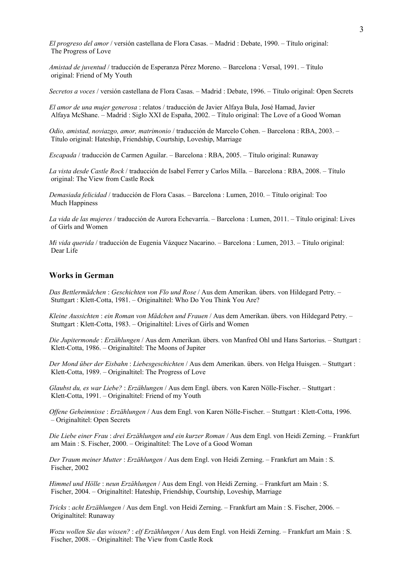*El progreso del amor* / versión castellana de Flora Casas. – Madrid : Debate, 1990. – Título original: The Progress of Love

*Amistad de juventud* / traducción de Esperanza Pérez Moreno. – Barcelona : Versal, 1991. – Título original: Friend of My Youth

*Secretos a voces* / versión castellana de Flora Casas. – Madrid : Debate, 1996. – Título original: Open Secrets

*El amor de una mujer generosa* : relatos / traducción de Javier Alfaya Bula, José Hamad, Javier Alfaya McShane. – Madrid : Siglo XXI de España, 2002. – Título original: The Love of a Good Woman

*Odio, amistad, noviazgo, amor, matrimonio* / traducción de Marcelo Cohen. – Barcelona : RBA, 2003. – Título original: Hateship, Friendship, Courtship, Loveship, Marriage

*Escapada* / traducción de Carmen Aguilar. – Barcelona : RBA, 2005. – Título original: Runaway

*La vista desde Castle Rock* / traducción de Isabel Ferrer y Carlos Milla. – Barcelona : RBA, 2008. – Título original: The View from Castle Rock

*Demasiada felicidad* / traducción de Flora Casas. – Barcelona : Lumen, 2010. – Título original: Too Much Happiness

*La vida de las mujeres* / traducción de Aurora Echevarría. – Barcelona : Lumen, 2011. – Título original: Lives of Girls and Women

*Mi vida querida* / traducción de Eugenia Vázquez Nacarino. – Barcelona : Lumen, 2013. – Título original: Dear Life

# **Works in German**

*Das Bettlermädchen* : *Geschichten von Flo und Rose* / Aus dem Amerikan. übers. von Hildegard Petry. – Stuttgart : Klett-Cotta, 1981. – Originaltitel: Who Do You Think You Are?

*Kleine Aussichten* : *ein Roman von Mädchen und Frauen* / Aus dem Amerikan. übers. von Hildegard Petry. – Stuttgart : Klett-Cotta, 1983. – Originaltitel: Lives of Girls and Women

*Die Jupitermonde* : *Erzählungen* / Aus dem Amerikan. übers. von Manfred Ohl und Hans Sartorius. – Stuttgart : Klett-Cotta, 1986. – Originaltitel: The Moons of Jupiter

*Der Mond über der Eisbahn* : *Liebesgeschichten* / Aus dem Amerikan. übers. von Helga Huisgen. – Stuttgart : Klett-Cotta, 1989. – Originaltitel: The Progress of Love

*Glaubst du, es war Liebe?* : *Erzählungen* / Aus dem Engl. übers. von Karen Nölle-Fischer. – Stuttgart : Klett-Cotta, 1991. – Originaltitel: Friend of my Youth

*Offene Geheimnisse* : *Erzählungen* / Aus dem Engl. von Karen Nölle-Fischer. – Stuttgart : Klett-Cotta, 1996. – Originaltitel: Open Secrets

*Die Liebe einer Frau* : *drei Erzählungen und ein kurzer Roman* / Aus dem Engl. von Heidi Zerning. – Frankfurt am Main : S. Fischer, 2000. – Originaltitel: The Love of a Good Woman

*Der Traum meiner Mutter* : *Erzählungen* / Aus dem Engl. von Heidi Zerning. – Frankfurt am Main : S. Fischer, 2002

*Himmel und Hölle* : *neun Erzählungen* / Aus dem Engl. von Heidi Zerning. – Frankfurt am Main : S. Fischer, 2004. – Originaltitel: Hateship, Friendship, Courtship, Loveship, Marriage

*Tricks* : *acht Erzählungen* / Aus dem Engl. von Heidi Zerning. – Frankfurt am Main : S. Fischer, 2006. – Originaltitel: Runaway

*Wozu wollen Sie das wissen?* : *elf Erzählungen* / Aus dem Engl. von Heidi Zerning. – Frankfurt am Main : S. Fischer, 2008. – Originaltitel: The View from Castle Rock